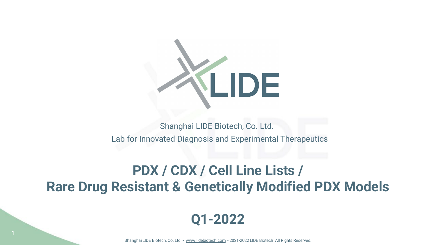

#### Lab for Innovated Diagnosis and Experimental Therapeutics Shanghai LIDE Biotech, Co. Ltd.

## **PDX / CDX / Cell Line Lists / Rare Drug Resistant & Genetically Modified PDX Models**

### **Q1-2022**

Shanghai LIDE Biotech, Co. Ltd - [www.lidebiotech.com](https://www.lidebiotech.com/) - 2021-2022 LIDE Biotech All Rights Reserved.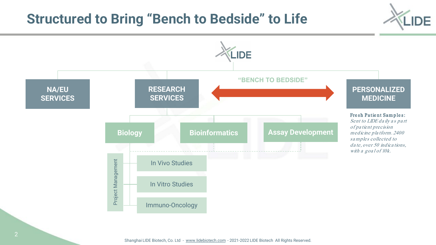## **Structured to Bring "Bench to Bedside" to Life**



DF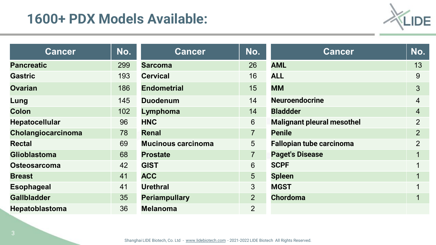## **1600+ PDX Models Available:**



| <b>Cancer</b>         | No. | <b>Cancer</b>             | No.            | <b>Cancer</b>                     | No.            |
|-----------------------|-----|---------------------------|----------------|-----------------------------------|----------------|
| <b>Pancreatic</b>     | 299 | <b>Sarcoma</b>            | 26             | <b>AML</b>                        | 13             |
| <b>Gastric</b>        | 193 | <b>Cervical</b>           | 16             | <b>ALL</b>                        | 9              |
| <b>Ovarian</b>        | 186 | <b>Endometrial</b>        | 15             | <b>MM</b>                         | $\mathfrak{S}$ |
| Lung                  | 145 | <b>Duodenum</b>           | 14             | <b>Neuroendocrine</b>             | $\overline{4}$ |
| <b>Colon</b>          | 102 | Lymphoma                  | 14             | <b>Bladdder</b>                   | $\overline{4}$ |
| <b>Hepatocellular</b> | 96  | <b>HNC</b>                | 6              | <b>Malignant pleural mesothel</b> | $\overline{2}$ |
| Cholangiocarcinoma    | 78  | <b>Renal</b>              | $\overline{7}$ | <b>Penile</b>                     | $\overline{2}$ |
| <b>Rectal</b>         | 69  | <b>Mucinous carcinoma</b> | 5              | <b>Fallopian tube carcinoma</b>   | $\overline{2}$ |
| <b>Glioblastoma</b>   | 68  | <b>Prostate</b>           | $\overline{7}$ | <b>Paget's Disease</b>            | 1              |
| <b>Osteosarcoma</b>   | 42  | <b>GIST</b>               | 6              | <b>SCPF</b>                       | 1              |
| <b>Breast</b>         | 41  | <b>ACC</b>                | 5              | <b>Spleen</b>                     | 1              |
| <b>Esophageal</b>     | 41  | <b>Urethral</b>           | 3              | <b>MGST</b>                       | 1              |
| <b>Gallbladder</b>    | 35  | <b>Periampullary</b>      | $\overline{2}$ | <b>Chordoma</b>                   | 1              |
| <b>Hepatoblastoma</b> | 36  | <b>Melanoma</b>           | $\overline{2}$ |                                   |                |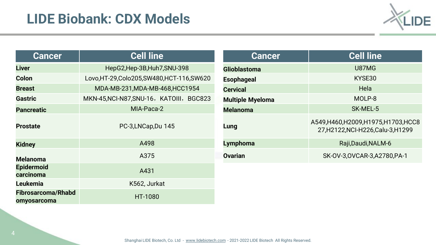

| <b>Cancer</b>                            | <b>Cell line</b>                             |  |  |
|------------------------------------------|----------------------------------------------|--|--|
| <b>Liver</b>                             | HepG2, Hep-3B, Huh7, SNU-398                 |  |  |
| Colon                                    | Lovo, HT-29, Colo 205, SW480, HCT-116, SW620 |  |  |
| <b>Breast</b>                            | MDA-MB-231, MDA-MB-468, HCC1954              |  |  |
| <b>Gastric</b>                           | MKN-45, NCI-N87, SNU-16, KATOIII, BGC823     |  |  |
| <b>Pancreatic</b>                        | MIA-Paca-2                                   |  |  |
| <b>Prostate</b>                          | PC-3,LNCap,Du 145                            |  |  |
| <b>Kidney</b>                            | A498                                         |  |  |
| <b>Melanoma</b>                          | A375                                         |  |  |
| <b>Epidermoid</b><br>carcinoma           | A431                                         |  |  |
| <b>Leukemia</b>                          | K562, Jurkat                                 |  |  |
| <b>Fibrosarcoma/Rhabd</b><br>omyosarcoma | <b>HT-1080</b>                               |  |  |

| <b>Cancer</b>           | <b>Cell line</b>                                                            |  |  |
|-------------------------|-----------------------------------------------------------------------------|--|--|
| <b>Glioblastoma</b>     | <b>U87MG</b>                                                                |  |  |
| <b>Esophageal</b>       | KYSE30                                                                      |  |  |
| <b>Cervical</b>         | Hela                                                                        |  |  |
| <b>Multiple Myeloma</b> | MOLP-8                                                                      |  |  |
| <b>Melanoma</b>         | SK-MEL-5                                                                    |  |  |
| Lung                    | A549, H460, H2009, H1975, H1703, HCC8<br>27, H2122, NCI-H226, Calu-3, H1299 |  |  |
| <b>Lymphoma</b>         | Raji, Daudi, NALM-6                                                         |  |  |
| <b>Ovarian</b>          | SK-0V-3,0VCAR-3,A2780,PA-1                                                  |  |  |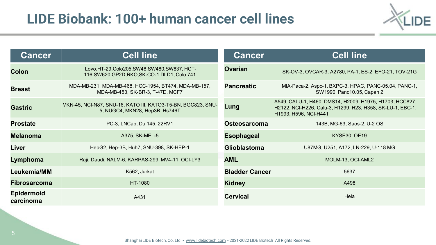# **LIDE Biobank: 100+ human cancer cell lines**



| <b>Cancer</b>                  | <b>Cell line</b>                                                                                 | <b>Cancer</b>         | <b>Cell line</b>                                                                                                                               |
|--------------------------------|--------------------------------------------------------------------------------------------------|-----------------------|------------------------------------------------------------------------------------------------------------------------------------------------|
| <b>Colon</b>                   | Lovo, HT-29, Colo205, SW48, SW480, SW837, HCT-<br>116, SW620, GP2D, RKO, SK-CO-1, DLD1, Colo 741 | <b>Ovarian</b>        | SK-OV-3, OVCAR-3, A2780, PA-1, ES-2, EFO-21, TOV-21G                                                                                           |
| <b>Breast</b>                  | MDA-MB-231, MDA-MB-468, HCC-1954, BT474, MDA-MB-157,<br>MDA-MB-453, SK-BR-3, T-47D, MCF7         | <b>Pancreatic</b>     | MIA-Paca-2, Aspc-1, BXPC-3, HPAC, PANC-05.04, PANC-1,<br>SW1990, Panc10.05, Capan 2                                                            |
| <b>Gastric</b>                 | MKN-45, NCI-N87, SNU-16, KATO III, KATO3-T5-BN, BGC823, SNU-<br>5, NUGC4, MKN28, Hep3B, Hs746T   | Lung                  | A549, CALU-1, H460, DMS14, H2009, H1975, H1703, HCC827,<br>H2122, NCI-H226, Calu-3, H1299, H23, H358, SK-LU-1, EBC-1,<br>H1993, H596, NCI-H441 |
| <b>Prostate</b>                | PC-3, LNCap, Du 145, 22RV1                                                                       | <b>Osteosarcoma</b>   | 143B, MG-63, Saos-2, U-2 OS                                                                                                                    |
| <b>Melanoma</b>                | A375, SK-MEL-5                                                                                   | <b>Esophageal</b>     | <b>KYSE30, OE19</b>                                                                                                                            |
| Liver                          | HepG2, Hep-3B, Huh7, SNU-398, SK-HEP-1                                                           | <b>Glioblastoma</b>   | U87MG, U251, A172, LN-229, U-118 MG                                                                                                            |
| Lymphoma                       | Raji, Daudi, NALM-6, KARPAS-299, MV4-11, OCI-LY3                                                 | <b>AML</b>            | MOLM-13, OCI-AML2                                                                                                                              |
| Leukemia/MM                    | K562, Jurkat                                                                                     | <b>Bladder Cancer</b> | 5637                                                                                                                                           |
| <b>Fibrosarcoma</b>            | HT-1080                                                                                          | <b>Kidney</b>         | A498                                                                                                                                           |
| <b>Epidermoid</b><br>carcinoma | A431                                                                                             | <b>Cervical</b>       | Hela                                                                                                                                           |

Shanghai LIDE Biotech, Co. Ltd - [www.lidebiotech.com](https://www.lidebiotech.com/) - 2021-2022 LIDE Biotech All Rights Reserved.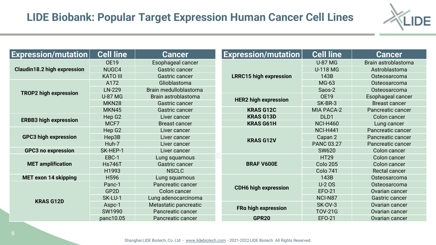

| <b>Expression/mutation</b>         | <b>Cell line</b>   | <b>Cancer</b>            | <b>Expression/mutation</b>    | <b>Cell line</b>  | <b>Cancer</b>        |
|------------------------------------|--------------------|--------------------------|-------------------------------|-------------------|----------------------|
| <b>Claudin18.2 high expression</b> | <b>OE19</b>        | Esophageal cancer        |                               | <b>U-87 MG</b>    | Brain astroblastoma  |
|                                    | NUGC4              | Gastric cancer           |                               | <b>U-118 MG</b>   | Astroblastoma        |
|                                    | <b>KATO III</b>    | <b>Gastric cancer</b>    | <b>LRRC15 high expression</b> | 143B              | Osteosarcoma         |
|                                    | A172               | Glioblastoma             |                               | MG-63             | Osteosarcoma         |
|                                    | LN-229             | Brain medulloblastoma    |                               | Saos-2            | Osteosarcoma         |
| <b>TROP2 high expression</b>       | <b>U-87 MG</b>     | Brain astroblastoma      |                               | <b>OE19</b>       | Esophageal cancer    |
|                                    | MKN <sub>28</sub>  | Gastric cancer           | <b>HER2 high expression</b>   | SK-BR-3           | <b>Breast cancer</b> |
|                                    | MKN45              | <b>Gastric cancer</b>    | <b>KRAS G12C</b>              | <b>MIA PACA-2</b> | Pancreatic cancer    |
|                                    | Hep G <sub>2</sub> | Liver cancer             | <b>KRAS G13D</b>              | DLD1              | Colon cancer         |
| <b>ERBB3 high expression</b>       | MCF7               | <b>Breast cancer</b>     | <b>KRAS G61H</b>              | <b>NCI-H460</b>   | Lung cancer          |
| <b>GPC3 high expression</b>        | Hep G <sub>2</sub> | Liver cancer             | <b>KRAS G12V</b>              | <b>NCI-H441</b>   | Pancreatic cancer    |
|                                    | Hep3B              | Liver cancer             |                               | Capan 2           | Pancreatic cancer    |
|                                    | Huh-7              | Liver cancer             |                               | <b>PANC 03.27</b> | Pancreatic cancer    |
| <b>GPC3 no expression</b>          | SK-HEP-1           | Liver cancer             |                               | <b>SW620</b>      | Colon cancer         |
|                                    | EBC-1              | Lung squamous            |                               | <b>HT29</b>       | Colon cancer         |
| <b>MET</b> amplification           | <b>Hs746T</b>      | <b>Gastric cancer</b>    | <b>BRAF V600E</b>             | <b>Colo 205</b>   | Colon cancer         |
|                                    | H1993              | <b>NSCLC</b>             |                               | <b>Colo 741</b>   | <b>Rectal cancer</b> |
| <b>MET exon 14 skipping</b>        | H596               | Lung squamous            |                               | 143B              | Osteosarcoma         |
| <b>KRAS G12D</b>                   | Panc-1             | Pancreatic cancer        | <b>CDH6 high expression</b>   | <b>U-2 OS</b>     | Osteosarcoma         |
|                                    | GP2D               | Colon cancer             |                               | <b>EFO-21</b>     | Ovarian cancer       |
|                                    | SK-LU-1            | Lung adenocarcinoma      |                               | NCI-N87           | Gastric cancer       |
|                                    | Aspc-1             | Metastatic pancreatic    |                               | <b>SK-OV-3</b>    | Ovarian cancer       |
|                                    | SW1990             | <b>Pancreatic cancer</b> | FRa high expression           | <b>TOV-21G</b>    | Ovarian cancer       |
|                                    | panc10.05          | Pancreatic cancer        | <b>GPR20</b>                  | EF0-21            | Ovarian cancer       |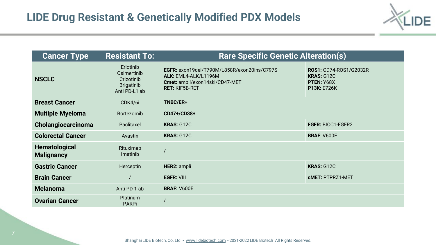

| <b>Cancer Type</b>                                                                           | <b>Resistant To:</b>     | <b>Rare Specific Genetic Alteration(s)</b>                                                                                     |                                                                                 |  |
|----------------------------------------------------------------------------------------------|--------------------------|--------------------------------------------------------------------------------------------------------------------------------|---------------------------------------------------------------------------------|--|
| Eriotinib<br>Osimertinib<br><b>NSCLC</b><br>Crizotinib<br><b>Brigatinib</b><br>Anti PD-L1 ab |                          | EGFR: exon19del/T790M/L858R/exon20ins/C797S<br>ALK: EML4-ALK/L1196M<br>Cmet: ampli/exon14ski/CD47-MET<br><b>RET: KIF5B-RET</b> | <b>ROS1: CD74-ROS1/G2032R</b><br><b>KRAS: G12C</b><br>PTEN: Y68X<br>P13K: E726K |  |
| <b>Breast Cancer</b>                                                                         | CDK4/6i                  | TNBC/ER+                                                                                                                       |                                                                                 |  |
| <b>Multiple Myeloma</b>                                                                      | <b>Bortezomib</b>        | CD47+/CD38+                                                                                                                    |                                                                                 |  |
| Cholangiocarcinoma                                                                           | Paclitaxel               | <b>KRAS: G12C</b>                                                                                                              | <b>FGFR: BICC1-FGFR2</b>                                                        |  |
| <b>Colorectal Cancer</b>                                                                     | Avastin                  | <b>KRAS: G12C</b>                                                                                                              | <b>BRAF: V600E</b>                                                              |  |
| <b>Hematological</b><br><b>Malignancy</b>                                                    | Rituximab<br>Imatinib    |                                                                                                                                |                                                                                 |  |
| <b>Gastric Cancer</b>                                                                        | Herceptin                | <b>HER2: ampli</b>                                                                                                             | <b>KRAS: G12C</b>                                                               |  |
| <b>Brain Cancer</b>                                                                          |                          | <b>EGFR: VIII</b>                                                                                                              | <b>cMET: PTPRZ1-MET</b>                                                         |  |
| <b>Melanoma</b>                                                                              | Anti PD-1 ab             | <b>BRAF: V600E</b>                                                                                                             |                                                                                 |  |
| <b>Ovarian Cancer</b>                                                                        | Platinum<br><b>PARPi</b> |                                                                                                                                |                                                                                 |  |